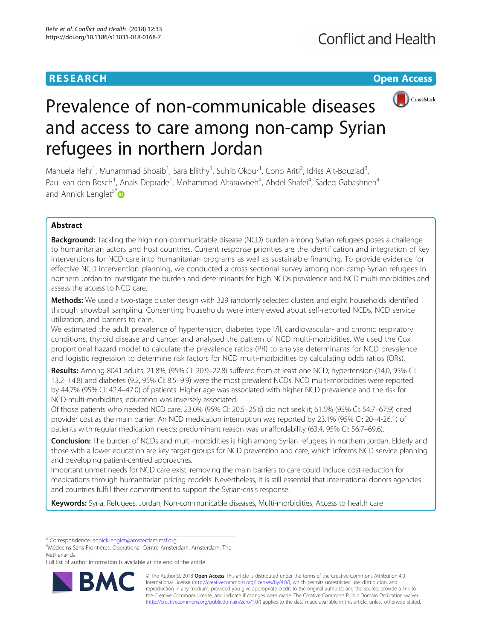**RESEARCH CHINESE ARCH CHINESE ARCHITECT AND INCLUSIVE ARCHITECT ARCHITECT ARCHITECT ARCHITECT ARCHITECT ARCHITECT ARCHITECT ARCHITECT ARCHITECT ARCHITECT ARCHITECT ARCHITECT ARCHITECT ARCHITECT ARCHITECT ARCHITECT ARC** 



# Prevalence of non-communicable diseases and access to care among non-camp Syrian refugees in northern Jordan

Manuela Rehr<sup>1</sup>, Muhammad Shoaib<sup>1</sup>, Sara Ellithy<sup>1</sup>, Suhib Okour<sup>1</sup>, Cono Ariti<sup>2</sup>, Idriss Ait-Bouziad<sup>3</sup> , Paul van den Bosch<sup>1</sup>, Anais Deprade<sup>1</sup>, Mohammad Altarawneh<sup>4</sup>, Abdel Shafei<sup>4</sup>, Sadeq Gabashneh<sup>4</sup> and Annick Lenglet<sup>5[\\*](http://orcid.org/0000-0003-2013-8405)</sup> $\bullet$ 

# Abstract

**Background:** Tackling the high non-communicable disease (NCD) burden among Syrian refugees poses a challenge to humanitarian actors and host countries. Current response priorities are the identification and integration of key interventions for NCD care into humanitarian programs as well as sustainable financing. To provide evidence for effective NCD intervention planning, we conducted a cross-sectional survey among non-camp Syrian refugees in northern Jordan to investigate the burden and determinants for high NCDs prevalence and NCD multi-morbidities and assess the access to NCD care.

Methods: We used a two-stage cluster design with 329 randomly selected clusters and eight households identified through snowball sampling. Consenting households were interviewed about self-reported NCDs, NCD service utilization, and barriers to care.

We estimated the adult prevalence of hypertension, diabetes type I/II, cardiovascular- and chronic respiratory conditions, thyroid disease and cancer and analysed the pattern of NCD multi-morbidities. We used the Cox proportional hazard model to calculate the prevalence ratios (PR) to analyse determinants for NCD prevalence and logistic regression to determine risk factors for NCD multi-morbidities by calculating odds ratios (ORs).

Results: Among 8041 adults, 21.8%, (95% CI: 20.9–22.8) suffered from at least one NCD; hypertension (14.0, 95% CI: 13.2–14.8) and diabetes (9.2, 95% CI: 8.5–9.9) were the most prevalent NCDs. NCD multi-morbidities were reported by 44.7% (95% CI: 42.4–47.0) of patients. Higher age was associated with higher NCD prevalence and the risk for NCD-multi-morbidities; education was inversely associated.

Of those patients who needed NCD care, 23.0% (95% CI: 20.5–25.6) did not seek it; 61.5% (95% CI: 54.7–67.9) cited provider cost as the main barrier. An NCD medication interruption was reported by 23.1% (95% CI: 20–4-26.1) of patients with regular medication needs; predominant reason was unaffordability (63.4, 95% CI: 56.7–69.6).

Conclusion: The burden of NCDs and multi-morbidities is high among Syrian refugees in northern Jordan. Elderly and those with a lower education are key target groups for NCD prevention and care, which informs NCD service planning and developing patient-centred approaches.

Important unmet needs for NCD care exist; removing the main barriers to care could include cost-reduction for medications through humanitarian pricing models. Nevertheless, it is still essential that international donors agencies and countries fulfill their commitment to support the Syrian-crisis response.

Keywords: Syria, Refugees, Jordan, Non-communicable diseases, Multi-morbidities, Access to health care

\* Correspondence: [annick.lenglet@amsterdam.msf.org](mailto:annick.lenglet@amsterdam.msf.org) <sup>5</sup>

Médecins Sans Frontières, Operational Centre Amsterdam, Amsterdam, The **Netherlands** 

Full list of author information is available at the end of the article



© The Author(s). 2018 Open Access This article is distributed under the terms of the Creative Commons Attribution 4.0 International License [\(http://creativecommons.org/licenses/by/4.0/](http://creativecommons.org/licenses/by/4.0/)), which permits unrestricted use, distribution, and reproduction in any medium, provided you give appropriate credit to the original author(s) and the source, provide a link to the Creative Commons license, and indicate if changes were made. The Creative Commons Public Domain Dedication waiver [\(http://creativecommons.org/publicdomain/zero/1.0/](http://creativecommons.org/publicdomain/zero/1.0/)) applies to the data made available in this article, unless otherwise stated.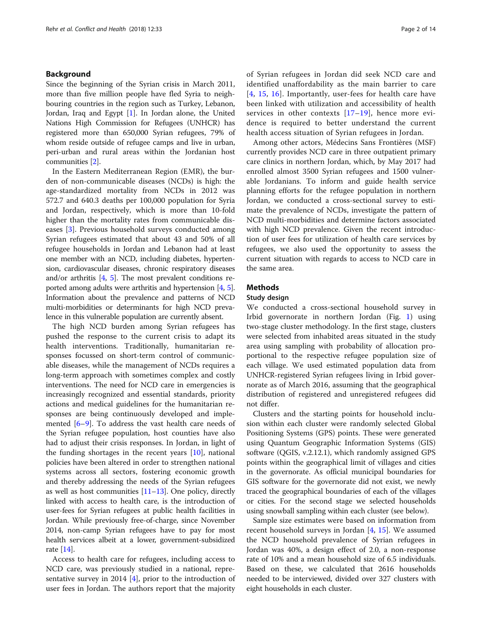# Background

Since the beginning of the Syrian crisis in March 2011, more than five million people have fled Syria to neighbouring countries in the region such as Turkey, Lebanon, Jordan, Iraq and Egypt [[1\]](#page-12-0). In Jordan alone, the United Nations High Commission for Refugees (UNHCR) has registered more than 650,000 Syrian refugees, 79% of whom reside outside of refugee camps and live in urban, peri-urban and rural areas within the Jordanian host communities [[2](#page-13-0)].

In the Eastern Mediterranean Region (EMR), the burden of non-communicable diseases (NCDs) is high: the age-standardized mortality from NCDs in 2012 was 572.7 and 640.3 deaths per 100,000 population for Syria and Jordan, respectively, which is more than 10-fold higher than the mortality rates from communicable diseases [\[3](#page-13-0)]. Previous household surveys conducted among Syrian refugees estimated that about 43 and 50% of all refugee households in Jordan and Lebanon had at least one member with an NCD, including diabetes, hypertension, cardiovascular diseases, chronic respiratory diseases and/or arthritis [\[4](#page-13-0), [5\]](#page-13-0). The most prevalent conditions reported among adults were arthritis and hypertension [\[4,](#page-13-0) [5](#page-13-0)]. Information about the prevalence and patterns of NCD multi-morbidities or determinants for high NCD prevalence in this vulnerable population are currently absent.

The high NCD burden among Syrian refugees has pushed the response to the current crisis to adapt its health interventions. Traditionally, humanitarian responses focussed on short-term control of communicable diseases, while the management of NCDs requires a long-term approach with sometimes complex and costly interventions. The need for NCD care in emergencies is increasingly recognized and essential standards, priority actions and medical guidelines for the humanitarian responses are being continuously developed and implemented [[6](#page-13-0)–[9](#page-13-0)]. To address the vast health care needs of the Syrian refugee population, host counties have also had to adjust their crisis responses. In Jordan, in light of the funding shortages in the recent years [\[10](#page-13-0)], national policies have been altered in order to strengthen national systems across all sectors, fostering economic growth and thereby addressing the needs of the Syrian refugees as well as host communities  $[11–13]$  $[11–13]$  $[11–13]$  $[11–13]$ . One policy, directly linked with access to health care, is the introduction of user-fees for Syrian refugees at public health facilities in Jordan. While previously free-of-charge, since November 2014, non-camp Syrian refugees have to pay for most health services albeit at a lower, government-subsidized rate [[14](#page-13-0)].

Access to health care for refugees, including access to NCD care, was previously studied in a national, representative survey in 2014  $[4]$ , prior to the introduction of user fees in Jordan. The authors report that the majority of Syrian refugees in Jordan did seek NCD care and identified unaffordability as the main barrier to care [[4](#page-13-0), [15](#page-13-0), [16](#page-13-0)]. Importantly, user-fees for health care have been linked with utilization and accessibility of health services in other contexts [\[17](#page-13-0)–[19](#page-13-0)], hence more evidence is required to better understand the current health access situation of Syrian refugees in Jordan.

Among other actors, Médecins Sans Frontières (MSF) currently provides NCD care in three outpatient primary care clinics in northern Jordan, which, by May 2017 had enrolled almost 3500 Syrian refugees and 1500 vulnerable Jordanians. To inform and guide health service planning efforts for the refugee population in northern Jordan, we conducted a cross-sectional survey to estimate the prevalence of NCDs, investigate the pattern of NCD multi-morbidities and determine factors associated with high NCD prevalence. Given the recent introduction of user fees for utilization of health care services by refugees, we also used the opportunity to assess the current situation with regards to access to NCD care in the same area.

# Methods

# Study design

We conducted a cross-sectional household survey in Irbid governorate in northern Jordan (Fig. [1\)](#page-2-0) using two-stage cluster methodology. In the first stage, clusters were selected from inhabited areas situated in the study area using sampling with probability of allocation proportional to the respective refugee population size of each village. We used estimated population data from UNHCR-registered Syrian refugees living in Irbid governorate as of March 2016, assuming that the geographical distribution of registered and unregistered refugees did not differ.

Clusters and the starting points for household inclusion within each cluster were randomly selected Global Positioning Systems (GPS) points. These were generated using Quantum Geographic Information Systems (GIS) software (QGIS, v.2.12.1), which randomly assigned GPS points within the geographical limit of villages and cities in the governorate. As official municipal boundaries for GIS software for the governorate did not exist, we newly traced the geographical boundaries of each of the villages or cities. For the second stage we selected households using snowball sampling within each cluster (see below).

Sample size estimates were based on information from recent household surveys in Jordan [\[4,](#page-13-0) [15](#page-13-0)]. We assumed the NCD household prevalence of Syrian refugees in Jordan was 40%, a design effect of 2.0, a non-response rate of 10% and a mean household size of 6.5 individuals. Based on these, we calculated that 2616 households needed to be interviewed, divided over 327 clusters with eight households in each cluster.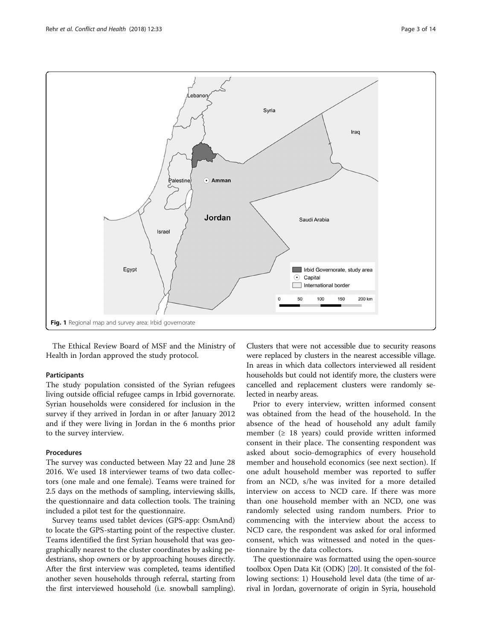

<span id="page-2-0"></span>

The Ethical Review Board of MSF and the Ministry of Health in Jordan approved the study protocol.

# Participants

The study population consisted of the Syrian refugees living outside official refugee camps in Irbid governorate. Syrian households were considered for inclusion in the survey if they arrived in Jordan in or after January 2012 and if they were living in Jordan in the 6 months prior to the survey interview.

# Procedures

The survey was conducted between May 22 and June 28 2016. We used 18 interviewer teams of two data collectors (one male and one female). Teams were trained for 2.5 days on the methods of sampling, interviewing skills, the questionnaire and data collection tools. The training included a pilot test for the questionnaire.

Survey teams used tablet devices (GPS-app: OsmAnd) to locate the GPS-starting point of the respective cluster. Teams identified the first Syrian household that was geographically nearest to the cluster coordinates by asking pedestrians, shop owners or by approaching houses directly. After the first interview was completed, teams identified another seven households through referral, starting from the first interviewed household (i.e. snowball sampling).

Clusters that were not accessible due to security reasons were replaced by clusters in the nearest accessible village. In areas in which data collectors interviewed all resident households but could not identify more, the clusters were cancelled and replacement clusters were randomly selected in nearby areas.

Prior to every interview, written informed consent was obtained from the head of the household. In the absence of the head of household any adult family member  $(≥ 18$  years) could provide written informed consent in their place. The consenting respondent was asked about socio-demographics of every household member and household economics (see next section). If one adult household member was reported to suffer from an NCD, s/he was invited for a more detailed interview on access to NCD care. If there was more than one household member with an NCD, one was randomly selected using random numbers. Prior to commencing with the interview about the access to NCD care, the respondent was asked for oral informed consent, which was witnessed and noted in the questionnaire by the data collectors.

The questionnaire was formatted using the open-source toolbox Open Data Kit (ODK) [\[20](#page-13-0)]. It consisted of the following sections: 1) Household level data (the time of arrival in Jordan, governorate of origin in Syria, household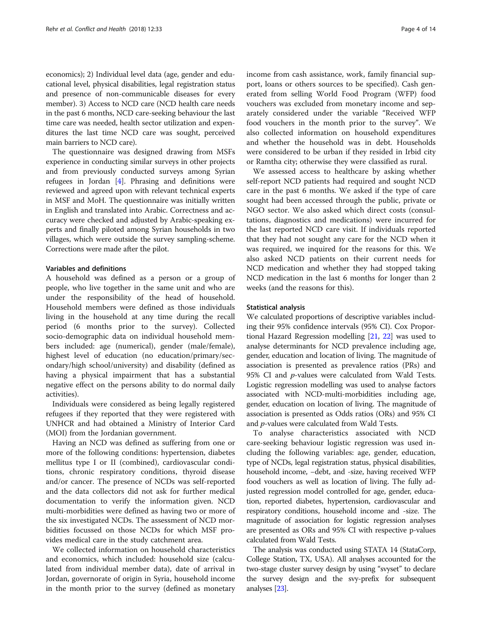economics); 2) Individual level data (age, gender and educational level, physical disabilities, legal registration status and presence of non-communicable diseases for every member). 3) Access to NCD care (NCD health care needs in the past 6 months, NCD care-seeking behaviour the last time care was needed, health sector utilization and expenditures the last time NCD care was sought, perceived main barriers to NCD care).

The questionnaire was designed drawing from MSFs experience in conducting similar surveys in other projects and from previously conducted surveys among Syrian refugees in Jordan [\[4](#page-13-0)]. Phrasing and definitions were reviewed and agreed upon with relevant technical experts in MSF and MoH. The questionnaire was initially written in English and translated into Arabic. Correctness and accuracy were checked and adjusted by Arabic-speaking experts and finally piloted among Syrian households in two villages, which were outside the survey sampling-scheme. Corrections were made after the pilot.

# Variables and definitions

A household was defined as a person or a group of people, who live together in the same unit and who are under the responsibility of the head of household. Household members were defined as those individuals living in the household at any time during the recall period (6 months prior to the survey). Collected socio-demographic data on individual household members included: age (numerical), gender (male/female), highest level of education (no education/primary/secondary/high school/university) and disability (defined as having a physical impairment that has a substantial negative effect on the persons ability to do normal daily activities).

Individuals were considered as being legally registered refugees if they reported that they were registered with UNHCR and had obtained a Ministry of Interior Card (MOI) from the Jordanian government.

Having an NCD was defined as suffering from one or more of the following conditions: hypertension, diabetes mellitus type I or II (combined), cardiovascular conditions, chronic respiratory conditions, thyroid disease and/or cancer. The presence of NCDs was self-reported and the data collectors did not ask for further medical documentation to verify the information given. NCD multi-morbidities were defined as having two or more of the six investigated NCDs. The assessment of NCD morbidities focussed on those NCDs for which MSF provides medical care in the study catchment area.

We collected information on household characteristics and economics, which included: household size (calculated from individual member data), date of arrival in Jordan, governorate of origin in Syria, household income in the month prior to the survey (defined as monetary income from cash assistance, work, family financial support, loans or others sources to be specified). Cash generated from selling World Food Program (WFP) food vouchers was excluded from monetary income and separately considered under the variable "Received WFP food vouchers in the month prior to the survey". We also collected information on household expenditures and whether the household was in debt. Households were considered to be urban if they resided in Irbid city or Ramtha city; otherwise they were classified as rural.

We assessed access to healthcare by asking whether self-report NCD patients had required and sought NCD care in the past 6 months. We asked if the type of care sought had been accessed through the public, private or NGO sector. We also asked which direct costs (consultations, diagnostics and medications) were incurred for the last reported NCD care visit. If individuals reported that they had not sought any care for the NCD when it was required, we inquired for the reasons for this. We also asked NCD patients on their current needs for NCD medication and whether they had stopped taking NCD medication in the last 6 months for longer than 2 weeks (and the reasons for this).

# Statistical analysis

We calculated proportions of descriptive variables including their 95% confidence intervals (95% CI). Cox Proportional Hazard Regression modelling [[21](#page-13-0), [22\]](#page-13-0) was used to analyse determinants for NCD prevalence including age, gender, education and location of living. The magnitude of association is presented as prevalence ratios (PRs) and 95% CI and p-values were calculated from Wald Tests. Logistic regression modelling was used to analyse factors associated with NCD-multi-morbidities including age, gender, education on location of living. The magnitude of association is presented as Odds ratios (ORs) and 95% CI and p-values were calculated from Wald Tests.

To analyse characteristics associated with NCD care-seeking behaviour logistic regression was used including the following variables: age, gender, education, type of NCDs, legal registration status, physical disabilities, household income, −debt, and -size, having received WFP food vouchers as well as location of living. The fully adjusted regression model controlled for age, gender, education, reported diabetes, hypertension, cardiovascular and respiratory conditions, household income and -size. The magnitude of association for logistic regression analyses are presented as ORs and 95% CI with respective p-values calculated from Wald Tests.

The analysis was conducted using STATA 14 (StataCorp, College Station, TX, USA). All analyses accounted for the two-stage cluster survey design by using "svyset" to declare the survey design and the svy-prefix for subsequent analyses [\[23](#page-13-0)].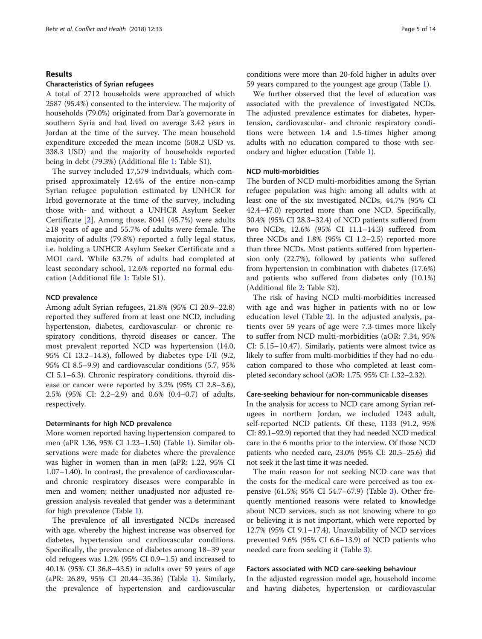# Results

#### Characteristics of Syrian refugees

A total of 2712 households were approached of which 2587 (95.4%) consented to the interview. The majority of households (79.0%) originated from Dar'a governorate in southern Syria and had lived on average 3.42 years in Jordan at the time of the survey. The mean household expenditure exceeded the mean income (508.2 USD vs. 338.3 USD) and the majority of households reported being in debt (79.3%) (Additional file [1](#page-12-0): Table S1).

The survey included 17,579 individuals, which comprised approximately 12.4% of the entire non-camp Syrian refugee population estimated by UNHCR for Irbid governorate at the time of the survey, including those with- and without a UNHCR Asylum Seeker Certificate [\[2](#page-13-0)]. Among those, 8041 (45.7%) were adults ≥18 years of age and 55.7% of adults were female. The majority of adults (79.8%) reported a fully legal status, i.e. holding a UNHCR Asylum Seeker Certificate and a MOI card. While 63.7% of adults had completed at least secondary school, 12.6% reported no formal education (Additional file [1](#page-12-0): Table S1).

#### NCD prevalence

Among adult Syrian refugees, 21.8% (95% CI 20.9–22.8) reported they suffered from at least one NCD, including hypertension, diabetes, cardiovascular- or chronic respiratory conditions, thyroid diseases or cancer. The most prevalent reported NCD was hypertension (14.0, 95% CI 13.2–14.8), followed by diabetes type I/II (9.2, 95% CI 8.5–9.9) and cardiovascular conditions (5.7, 95% CI 5.1–6.3). Chronic respiratory conditions, thyroid disease or cancer were reported by 3.2% (95% CI 2.8–3.6), 2.5% (95% CI: 2.2–2.9) and 0.6% (0.4–0.7) of adults, respectively.

## Determinants for high NCD prevalence

More women reported having hypertension compared to men (aPR 1.36, 95% CI 1.23–1.50) (Table [1\)](#page-5-0). Similar observations were made for diabetes where the prevalence was higher in women than in men (aPR: 1.22, 95% CI 1.07–1.40). In contrast, the prevalence of cardiovascularand chronic respiratory diseases were comparable in men and women; neither unadjusted nor adjusted regression analysis revealed that gender was a determinant for high prevalence (Table [1\)](#page-5-0).

The prevalence of all investigated NCDs increased with age, whereby the highest increase was observed for diabetes, hypertension and cardiovascular conditions. Specifically, the prevalence of diabetes among 18–39 year old refugees was 1.2% (95% CI 0.9–1.5) and increased to 40.1% (95% CI 36.8–43.5) in adults over 59 years of age (aPR: 26.89, 95% CI 20.44–35.36) (Table [1](#page-5-0)). Similarly, the prevalence of hypertension and cardiovascular conditions were more than 20-fold higher in adults over 59 years compared to the youngest age group (Table [1\)](#page-5-0).

We further observed that the level of education was associated with the prevalence of investigated NCDs. The adjusted prevalence estimates for diabetes, hypertension, cardiovascular- and chronic respiratory conditions were between 1.4 and 1.5-times higher among adults with no education compared to those with secondary and higher education (Table [1\)](#page-5-0).

# NCD multi-morbidities

The burden of NCD multi-morbidities among the Syrian refugee population was high: among all adults with at least one of the six investigated NCDs, 44.7% (95% CI 42.4–47.0) reported more than one NCD. Specifically, 30.4% (95% CI 28.3–32.4) of NCD patients suffered from two NCDs, 12.6% (95% CI 11.1–14.3) suffered from three NCDs and 1.8% (95% CI 1.2–2.5) reported more than three NCDs. Most patients suffered from hypertension only (22.7%), followed by patients who suffered from hypertension in combination with diabetes (17.6%) and patients who suffered from diabetes only (10.1%) (Additional file [2](#page-12-0): Table S2).

The risk of having NCD multi-morbidities increased with age and was higher in patients with no or low education level (Table [2](#page-6-0)). In the adjusted analysis, patients over 59 years of age were 7.3-times more likely to suffer from NCD multi-morbidities (aOR: 7.34, 95% CI: 5.15–10.47). Similarly, patients were almost twice as likely to suffer from multi-morbidities if they had no education compared to those who completed at least completed secondary school (aOR: 1.75, 95% CI: 1.32–2.32).

# Care-seeking behaviour for non-communicable diseases

In the analysis for access to NCD care among Syrian refugees in northern Jordan, we included 1243 adult, self-reported NCD patients. Of these, 1133 (91.2, 95% CI: 89.1–92.9) reported that they had needed NCD medical care in the 6 months prior to the interview. Of those NCD patients who needed care, 23.0% (95% CI: 20.5–25.6) did not seek it the last time it was needed.

The main reason for not seeking NCD care was that the costs for the medical care were perceived as too expensive (61.5%; 95% CI 54.7–67.9) (Table [3\)](#page-7-0). Other frequently mentioned reasons were related to knowledge about NCD services, such as not knowing where to go or believing it is not important, which were reported by 12.7% (95% CI 9.1–17.4). Unavailability of NCD services prevented 9.6% (95% CI 6.6–13.9) of NCD patients who needed care from seeking it (Table [3](#page-7-0)).

#### Factors associated with NCD care-seeking behaviour

In the adjusted regression model age, household income and having diabetes, hypertension or cardiovascular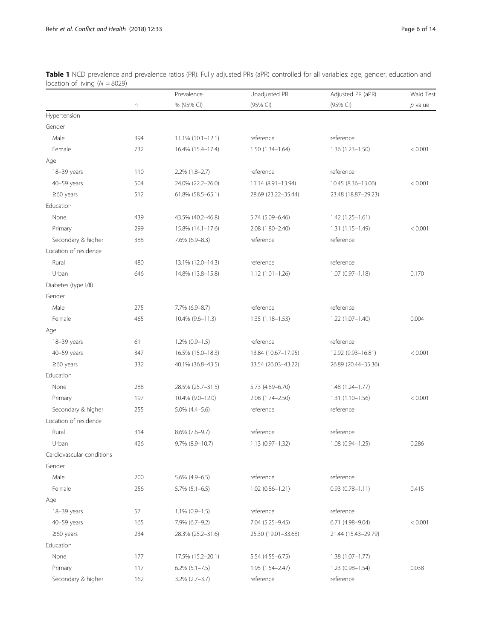|                           |              | Prevalence             | Unadjusted PR       | Adjusted PR (aPR)   | Wald Test |
|---------------------------|--------------|------------------------|---------------------|---------------------|-----------|
|                           | $\mathsf{n}$ | % (95% CI)             | (95% CI)            | (95% CI)            | $p$ value |
| Hypertension              |              |                        |                     |                     |           |
| Gender                    |              |                        |                     |                     |           |
| Male                      | 394          | $11.1\% (10.1 - 12.1)$ | reference           | reference           |           |
| Female                    | 732          | 16.4% (15.4-17.4)      | $1.50(1.34 - 1.64)$ | $1.36(1.23 - 1.50)$ | < 0.001   |
| Age                       |              |                        |                     |                     |           |
| 18-39 years               | 110          | 2.2% (1.8-2.7)         | reference           | reference           |           |
| 40-59 years               | 504          | 24.0% (22.2-26.0)      | 11.14 (8.91-13.94)  | 10.45 (8.36-13.06)  | < 0.001   |
| $\geq$ 60 years           | 512          | 61.8% (58.5-65.1)      | 28.69 (23.22-35.44) | 23.48 (18.87-29.23) |           |
| Education                 |              |                        |                     |                     |           |
| None                      | 439          | 43.5% (40.2-46.8)      | 5.74 (5.09-6.46)    | $1.42(1.25 - 1.61)$ |           |
| Primary                   | 299          | 15.8% (14.1-17.6)      | $2.08(1.80 - 2.40)$ | $1.31(1.15 - 1.49)$ | < 0.001   |
| Secondary & higher        | 388          | 7.6% (6.9-8.3)         | reference           | reference           |           |
| Location of residence     |              |                        |                     |                     |           |
| Rural                     | 480          | 13.1% (12.0-14.3)      | reference           | reference           |           |
| Urban                     | 646          | 14.8% (13.8-15.8)      | $1.12(1.01 - 1.26)$ | 1.07 (0.97-1.18)    | 0.170     |
| Diabetes (type I/II)      |              |                        |                     |                     |           |
| Gender                    |              |                        |                     |                     |           |
| Male                      | 275          | 7.7% (6.9-8.7)         | reference           | reference           |           |
| Female                    | 465          | 10.4% (9.6-11.3)       | $1.35(1.18 - 1.53)$ | 1.22 (1.07-1.40)    | 0.004     |
| Age                       |              |                        |                     |                     |           |
| 18-39 years               | 61           | $1.2\%$ (0.9-1.5)      | reference           | reference           |           |
| 40-59 years               | 347          | 16.5% (15.0-18.3)      | 13.84 (10.67-17.95) | 12.92 (9.93-16.81)  | < 0.001   |
| $\geq$ 60 years           | 332          | 40.1% (36.8-43.5)      | 33.54 (26.03-43.22) | 26.89 (20.44-35.36) |           |
| Education                 |              |                        |                     |                     |           |
| None                      | 288          | 28.5% (25.7-31.5)      | 5.73 (4.89-6.70)    | 1.48 (1.24-1.77)    |           |
| Primary                   | 197          | 10.4% (9.0-12.0)       | 2.08 (1.74-2.50)    | $1.31(1.10-1.56)$   | < 0.001   |
| Secondary & higher        | 255          | $5.0\%$ $(4.4-5.6)$    | reference           | reference           |           |
| Location of residence     |              |                        |                     |                     |           |
| Rural                     | 314          | $8.6\%$ (7.6-9.7)      | reference           | reference           |           |
| Urban                     | 426          | 9.7% (8.9-10.7)        | 1.13 (0.97-1.32)    | 1.08 (0.94-1.25)    | 0.286     |
| Cardiovascular conditions |              |                        |                     |                     |           |
| Gender                    |              |                        |                     |                     |           |
| Male                      | 200          | $5.6\%$ (4.9-6.5)      | reference           | reference           |           |
| Female                    | 256          | $5.7\%$ $(5.1-6.5)$    | $1.02(0.86 - 1.21)$ | $0.93(0.78 - 1.11)$ | 0.415     |
| Age                       |              |                        |                     |                     |           |
| 18-39 years               | 57           | $1.1\%$ (0.9-1.5)      | reference           | reference           |           |
| 40-59 years               | 165          | 7.9% (6.7-9.2)         | 7.04 (5.25-9.45)    | 6.71 (4.98-9.04)    | < 0.001   |
| $\geq$ 60 years           | 234          | 28.3% (25.2-31.6)      | 25.30 (19.01-33.68) | 21.44 (15.43-29.79) |           |
| Education                 |              |                        |                     |                     |           |
| None                      | 177          | 17.5% (15.2-20.1)      | 5.54 (4.55-6.75)    | $1.38(1.07 - 1.77)$ |           |
| Primary                   | 117          | $6.2\%$ $(5.1 - 7.5)$  | $1.95(1.54 - 2.47)$ | $1.23(0.98 - 1.54)$ | 0.038     |
| Secondary & higher        | 162          | $3.2\% (2.7 - 3.7)$    | reference           | reference           |           |

<span id="page-5-0"></span>

| Table 1 NCD prevalence and prevalence ratios (PR). Fully adjusted PRs (aPR) controlled for all variables: age, gender, education and |  |  |  |  |  |
|--------------------------------------------------------------------------------------------------------------------------------------|--|--|--|--|--|
| location of living ( $N = 8029$ )                                                                                                    |  |  |  |  |  |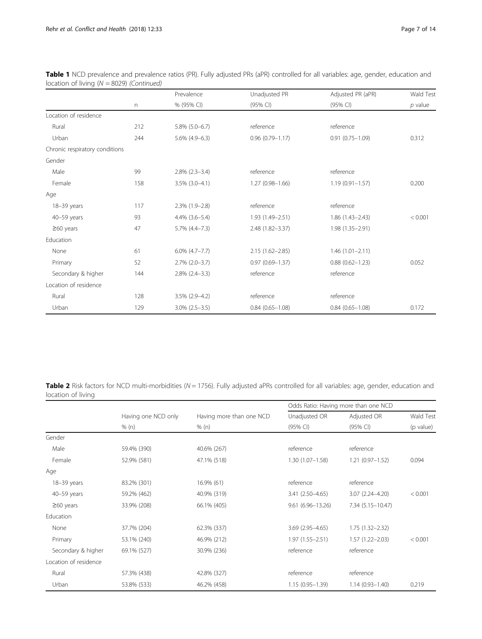|                                |     | Prevalence          | Unadjusted PR       | Adjusted PR (aPR)      | Wald Test |
|--------------------------------|-----|---------------------|---------------------|------------------------|-----------|
|                                | n   | % (95% CI)          | $(95%$ CI)          | (95% CI)               | $p$ value |
| Location of residence          |     |                     |                     |                        |           |
| Rural                          | 212 | $5.8\%$ $(5.0-6.7)$ | reference           | reference              |           |
| Urban                          | 244 | $5.6\%$ $(4.9-6.3)$ | $0.96(0.79 - 1.17)$ | $0.91(0.75 - 1.09)$    | 0.312     |
| Chronic respiratory conditions |     |                     |                     |                        |           |
| Gender                         |     |                     |                     |                        |           |
| Male                           | 99  | $2.8\%$ $(2.3-3.4)$ | reference           | reference              |           |
| Female                         | 158 | $3.5\%$ $(3.0-4.1)$ | $1.27(0.98 - 1.66)$ | $1.19(0.91 - 1.57)$    | 0.200     |
| Age                            |     |                     |                     |                        |           |
| 18-39 years                    | 117 | $2.3\%$ $(1.9-2.8)$ | reference           | reference              |           |
| 40-59 years                    | 93  | $4.4\%$ $(3.6-5.4)$ | 1.93 (1.49-2.51)    | $1.86(1.43 - 2.43)$    | < 0.001   |
| $\geq 60$ years                | 47  | $5.7\%$ $(4.4-7.3)$ | 2.48 (1.82-3.37)    | 1.98 (1.35-2.91)       |           |
| Education                      |     |                     |                     |                        |           |
| None                           | 61  | $6.0\%$ $(4.7-7.7)$ | $2.15(1.62 - 2.85)$ | $1.46(1.01 - 2.11)$    |           |
| Primary                        | 52  | $2.7\%$ (2.0-3.7)   | $0.97(0.69 - 1.37)$ | $0.88$ $(0.62 - 1.23)$ | 0.052     |
| Secondary & higher             | 144 | $2.8\%$ $(2.4-3.3)$ | reference           | reference              |           |
| Location of residence          |     |                     |                     |                        |           |
| Rural                          | 128 | $3.5\%$ (2.9-4.2)   | reference           | reference              |           |
| Urban                          | 129 | $3.0\%$ $(2.5-3.5)$ | $0.84(0.65 - 1.08)$ | $0.84(0.65 - 1.08)$    | 0.172     |

<span id="page-6-0"></span>

|  | Table 1 NCD prevalence and prevalence ratios (PR). Fully adjusted PRs (aPR) controlled for all variables: age, gender, education and |  |  |  |  |  |  |
|--|--------------------------------------------------------------------------------------------------------------------------------------|--|--|--|--|--|--|
|  | location of living $(N = 8029)$ (Continued)                                                                                          |  |  |  |  |  |  |

Table 2 Risk factors for NCD multi-morbidities ( $N = 1756$ ). Fully adjusted aPRs controlled for all variables: age, gender, education and location of living

|                       |                     |                          |                        | Odds Ratio: Having more than one NCD |                  |
|-----------------------|---------------------|--------------------------|------------------------|--------------------------------------|------------------|
|                       | Having one NCD only | Having more than one NCD | Unadjusted OR          | Adjusted OR                          | <b>Wald Test</b> |
|                       | % (n)               | % (n)                    | (95% CI)               | $(95%$ CI)                           | (p value)        |
| Gender                |                     |                          |                        |                                      |                  |
| Male                  | 59.4% (390)         | 40.6% (267)              | reference              | reference                            |                  |
| Female                | 52.9% (581)         | 47.1% (518)              | $1.30(1.07 - 1.58)$    | $1.21(0.97 - 1.52)$                  | 0.094            |
| Age                   |                     |                          |                        |                                      |                  |
| $18 - 39$ years       | 83.2% (301)         | 16.9% (61)               | reference              | reference                            |                  |
| 40-59 years           | 59.2% (462)         | 40.9% (319)              | 3.41 (2.50-4.65)       | $3.07(2.24 - 4.20)$                  | < 0.001          |
| $\geq$ 60 years       | 33.9% (208)         | 66.1% (405)              | $9.61(6.96 - 13.26)$   | 7.34 (5.15-10.47)                    |                  |
| Education             |                     |                          |                        |                                      |                  |
| None                  | 37.7% (204)         | 62.3% (337)              | $3.69$ $(2.95 - 4.65)$ | $1.75(1.32 - 2.32)$                  |                  |
| Primary               | 53.1% (240)         | 46.9% (212)              | $1.97(1.55 - 2.51)$    | $1.57(1.22 - 2.03)$                  | < 0.001          |
| Secondary & higher    | 69.1% (527)         | 30.9% (236)              | reference              | reference                            |                  |
| Location of residence |                     |                          |                        |                                      |                  |
| Rural                 | 57.3% (438)         | 42.8% (327)              | reference              | reference                            |                  |
| Urban                 | 53.8% (533)         | 46.2% (458)              | $1.15(0.95 - 1.39)$    | $1.14(0.93 - 1.40)$                  | 0.219            |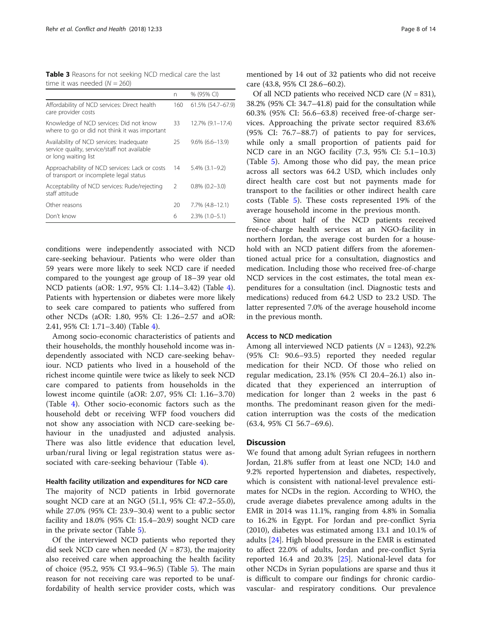<span id="page-7-0"></span>Table 3 Reasons for not seeking NCD medical care the last time it was needed  $(N = 260)$ 

|                                                                                                                  | n   | % (95% CI)            |
|------------------------------------------------------------------------------------------------------------------|-----|-----------------------|
| Affordability of NCD services: Direct health<br>care provider costs                                              | 160 | 61.5% (54.7-67.9)     |
| Knowledge of NCD services: Did not know<br>where to go or did not think it was important                         | 33  | 12.7% (9.1-17.4)      |
| Availability of NCD services: Inadequate<br>service quality, service/staff not available<br>or long waiting list | 25  | $9.6\%$ (6.6-13.9)    |
| Approachability of NCD services: Lack or costs<br>of transport or incomplete legal status                        | 14  | $5.4\%$ $(3.1-9.2)$   |
| Acceptability of NCD services: Rude/rejecting<br>staff attitude                                                  | 2   | $0.8\%$ $(0.2 - 3.0)$ |
| Other reasons                                                                                                    | 20  | 7.7% (4.8-12.1)       |
| Don't know                                                                                                       | 6   | $2.3\%$ (1.0-5.1)     |

conditions were independently associated with NCD care-seeking behaviour. Patients who were older than 59 years were more likely to seek NCD care if needed compared to the youngest age group of 18–39 year old NCD patients (aOR: 1.97, 95% CI: 1.14–3.42) (Table [4](#page-8-0)). Patients with hypertension or diabetes were more likely to seek care compared to patients who suffered from other NCDs (aOR: 1.80, 95% CI: 1.26–2.57 and aOR: 2.41, 95% CI: 1.71–3.40) (Table [4](#page-8-0)).

Among socio-economic characteristics of patients and their households, the monthly household income was independently associated with NCD care-seeking behaviour. NCD patients who lived in a household of the richest income quintile were twice as likely to seek NCD care compared to patients from households in the lowest income quintile (aOR: 2.07, 95% CI: 1.16–3.70) (Table [4](#page-8-0)). Other socio-economic factors such as the household debt or receiving WFP food vouchers did not show any association with NCD care-seeking behaviour in the unadjusted and adjusted analysis. There was also little evidence that education level, urban/rural living or legal registration status were associated with care-seeking behaviour (Table [4\)](#page-8-0).

# Health facility utilization and expenditures for NCD care

The majority of NCD patients in Irbid governorate sought NCD care at an NGO (51.1, 95% CI: 47.2–55.0), while 27.0% (95% CI: 23.9–30.4) went to a public sector facility and 18.0% (95% CI: 15.4–20.9) sought NCD care in the private sector (Table [5](#page-10-0)).

Of the interviewed NCD patients who reported they did seek NCD care when needed ( $N = 873$ ), the majority also received care when approaching the health facility of choice (95.2, 95% CI 93.4–96.5) (Table [5\)](#page-10-0). The main reason for not receiving care was reported to be unaffordability of health service provider costs, which was

mentioned by 14 out of 32 patients who did not receive care (43.8, 95% CI 28.6–60.2).

Of all NCD patients who received NCD care  $(N = 831)$ , 38.2% (95% CI: 34.7–41.8) paid for the consultation while 60.3% (95% CI: 56.6–63.8) received free-of-charge services. Approaching the private sector required 83.6% (95% CI: 76.7–88.7) of patients to pay for services, while only a small proportion of patients paid for NCD care in an NGO facility (7.3, 95% CI: 5.1–10.3) (Table [5](#page-10-0)). Among those who did pay, the mean price across all sectors was 64.2 USD, which includes only direct health care cost but not payments made for transport to the facilities or other indirect health care costs (Table [5](#page-10-0)). These costs represented 19% of the average household income in the previous month.

Since about half of the NCD patients received free-of-charge health services at an NGO-facility in northern Jordan, the average cost burden for a household with an NCD patient differs from the aforementioned actual price for a consultation, diagnostics and medication. Including those who received free-of-charge NCD services in the cost estimates, the total mean expenditures for a consultation (incl. Diagnostic tests and medications) reduced from 64.2 USD to 23.2 USD. The latter represented 7.0% of the average household income in the previous month.

# Access to NCD medication

Among all interviewed NCD patients  $(N = 1243)$ , 92.2% (95% CI: 90.6–93.5) reported they needed regular medication for their NCD. Of those who relied on regular medication, 23.1% (95% CI 20.4–26.1) also indicated that they experienced an interruption of medication for longer than 2 weeks in the past 6 months. The predominant reason given for the medication interruption was the costs of the medication (63.4, 95% CI 56.7–69.6).

### **Discussion**

We found that among adult Syrian refugees in northern Jordan, 21.8% suffer from at least one NCD; 14.0 and 9.2% reported hypertension and diabetes, respectively, which is consistent with national-level prevalence estimates for NCDs in the region. According to WHO, the crude average diabetes prevalence among adults in the EMR in 2014 was 11.1%, ranging from 4.8% in Somalia to 16.2% in Egypt. For Jordan and pre-conflict Syria (2010), diabetes was estimated among 13.1 and 10.1% of adults [\[24](#page-13-0)]. High blood pressure in the EMR is estimated to affect 22.0% of adults, Jordan and pre-conflict Syria reported 16.4 and 20.3% [[25\]](#page-13-0). National-level data for other NCDs in Syrian populations are sparse and thus it is difficult to compare our findings for chronic cardiovascular- and respiratory conditions. Our prevalence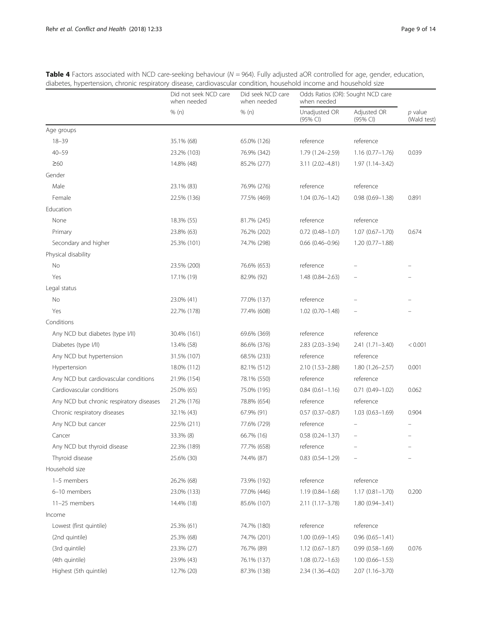|                                          | Did not seek NCD care<br>when needed | Did seek NCD care<br>when needed | Odds Ratios (OR): Sought NCD care<br>when needed |                         |                          |
|------------------------------------------|--------------------------------------|----------------------------------|--------------------------------------------------|-------------------------|--------------------------|
|                                          | % (n)                                | % (n)                            | Unadjusted OR<br>(95% CI)                        | Adjusted OR<br>(95% CI) | $p$ value<br>(Wald test) |
| Age groups                               |                                      |                                  |                                                  |                         |                          |
| $18 - 39$                                | 35.1% (68)                           | 65.0% (126)                      | reference                                        | reference               |                          |
| $40 - 59$                                | 23.2% (103)                          | 76.9% (342)                      | 1.79 (1.24-2.59)                                 | $1.16(0.77 - 1.76)$     | 0.039                    |
| $\geq 60$                                | 14.8% (48)                           | 85.2% (277)                      | 3.11 (2.02-4.81)                                 | $1.97(1.14 - 3.42)$     |                          |
| Gender                                   |                                      |                                  |                                                  |                         |                          |
| Male                                     | 23.1% (83)                           | 76.9% (276)                      | reference                                        | reference               |                          |
| Female                                   | 22.5% (136)                          | 77.5% (469)                      | $1.04(0.76 - 1.42)$                              | $0.98(0.69 - 1.38)$     | 0.891                    |
| Education                                |                                      |                                  |                                                  |                         |                          |
| None                                     | 18.3% (55)                           | 81.7% (245)                      | reference                                        | reference               |                          |
| Primary                                  | 23.8% (63)                           | 76.2% (202)                      | $0.72$ $(0.48 - 1.07)$                           | $1.07(0.67 - 1.70)$     | 0.674                    |
| Secondary and higher                     | 25.3% (101)                          | 74.7% (298)                      | $0.66$ $(0.46 - 0.96)$                           | $1.20(0.77 - 1.88)$     |                          |
| Physical disability                      |                                      |                                  |                                                  |                         |                          |
| No                                       | 23.5% (200)                          | 76.6% (653)                      | reference                                        |                         |                          |
| Yes                                      | 17.1% (19)                           | 82.9% (92)                       | $1.48(0.84 - 2.63)$                              |                         |                          |
| Legal status                             |                                      |                                  |                                                  |                         |                          |
| No                                       | 23.0% (41)                           | 77.0% (137)                      | reference                                        |                         |                          |
| Yes                                      | 22.7% (178)                          | 77.4% (608)                      | $1.02$ $(0.70 - 1.48)$                           |                         |                          |
| Conditions                               |                                      |                                  |                                                  |                         |                          |
| Any NCD but diabetes (type I/II)         | 30.4% (161)                          | 69.6% (369)                      | reference                                        | reference               |                          |
| Diabetes (type I/II)                     | 13.4% (58)                           | 86.6% (376)                      | $2.83$ $(2.03 - 3.94)$                           | $2.41(1.71 - 3.40)$     | < 0.001                  |
| Any NCD but hypertension                 | 31.5% (107)                          | 68.5% (233)                      | reference                                        | reference               |                          |
| Hypertension                             | 18.0% (112)                          | 82.1% (512)                      | 2.10 (1.53-2.88)                                 | $1.80(1.26 - 2.57)$     | 0.001                    |
| Any NCD but cardiovascular conditions    | 21.9% (154)                          | 78.1% (550)                      | reference                                        | reference               |                          |
| Cardiovascular conditions                | 25.0% (65)                           | 75.0% (195)                      | $0.84(0.61 - 1.16)$                              | $0.71(0.49 - 1.02)$     | 0.062                    |
| Any NCD but chronic respiratory diseases | 21.2% (176)                          | 78.8% (654)                      | reference                                        | reference               |                          |
| Chronic respiratory diseases             | 32.1% (43)                           | 67.9% (91)                       | $0.57(0.37 - 0.87)$                              | $1.03(0.63 - 1.69)$     | 0.904                    |
| Any NCD but cancer                       | 22.5% (211)                          | 77.6% (729)                      | reference                                        |                         |                          |
| Cancer                                   | 33.3% (8)                            | 66.7% (16)                       | $0.58(0.24 - 1.37)$                              |                         |                          |
| Any NCD but thyroid disease              | 22.3% (189)                          | 77.7% (658)                      | reference                                        | $\overline{a}$          |                          |
| Thyroid disease                          | 25.6% (30)                           | 74.4% (87)                       | $0.83$ $(0.54 - 1.29)$                           |                         |                          |
| Household size                           |                                      |                                  |                                                  |                         |                          |
| 1-5 members                              | 26.2% (68)                           | 73.9% (192)                      | reference                                        | reference               |                          |
| 6-10 members                             | 23.0% (133)                          | 77.0% (446)                      | $1.19(0.84 - 1.68)$                              | $1.17(0.81 - 1.70)$     | 0.200                    |
| 11-25 members                            | 14.4% (18)                           | 85.6% (107)                      | 2.11 (1.17-3.78)                                 | $1.80(0.94 - 3.41)$     |                          |
| Income                                   |                                      |                                  |                                                  |                         |                          |
| Lowest (first quintile)                  | 25.3% (61)                           | 74.7% (180)                      | reference                                        | reference               |                          |
| (2nd quintile)                           | 25.3% (68)                           | 74.7% (201)                      | $1.00(0.69 - 1.45)$                              | $0.96(0.65 - 1.41)$     |                          |
| (3rd quintile)                           | 23.3% (27)                           | 76.7% (89)                       | $1.12(0.67 - 1.87)$                              | $0.99(0.58 - 1.69)$     | 0.076                    |
| (4th quintile)                           | 23.9% (43)                           | 76.1% (137)                      | $1.08(0.72 - 1.63)$                              | $1.00(0.66 - 1.53)$     |                          |
| Highest (5th quintile)                   | 12.7% (20)                           | 87.3% (138)                      | 2.34 (1.36-4.02)                                 | 2.07 (1.16-3.70)        |                          |

<span id="page-8-0"></span>

| <b>Table 4</b> Factors associated with NCD care-seeking behaviour ( $N = 964$ ). Fully adjusted aOR controlled for age, gender, education, |  |  |
|--------------------------------------------------------------------------------------------------------------------------------------------|--|--|
| diabetes, hypertension, chronic respiratory disease, cardiovascular condition, household income and household size                         |  |  |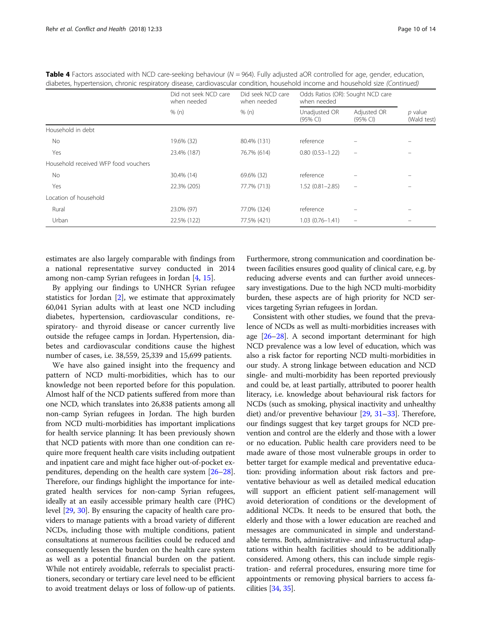|                                      |                                  | <b>Table 4</b> Factors associated with NCD care-seeking behaviour ( $N = 964$ ). Fully adjusted aOR controlled for age, gender, education, |
|--------------------------------------|----------------------------------|--------------------------------------------------------------------------------------------------------------------------------------------|
|                                      |                                  | diabetes, hypertension, chronic respiratory disease, cardiovascular condition, household income and household size (Continued)             |
| Did not seek NCD care<br>when needed | Did seek NCD care<br>when needed | Odds Ratios (OR): Sought NCD care<br>when needed                                                                                           |

|                                      | when needed | when needed | when needed                         |                           |                          |
|--------------------------------------|-------------|-------------|-------------------------------------|---------------------------|--------------------------|
|                                      | % (n)       | % (n)       | Unadjusted OR<br>$(95% \text{ Cl})$ | Adjusted OR<br>$(95%$ CI) | $p$ value<br>(Wald test) |
| Household in debt                    |             |             |                                     |                           |                          |
| No                                   | 19.6% (32)  | 80.4% (131) | reference                           |                           |                          |
| Yes                                  | 23.4% (187) | 76.7% (614) | $0.80(0.53 - 1.22)$                 | $\overline{\phantom{0}}$  |                          |
| Household received WFP food vouchers |             |             |                                     |                           |                          |
| No                                   | 30.4% (14)  | 69.6% (32)  | reference                           |                           |                          |
| Yes                                  | 22.3% (205) | 77.7% (713) | $1.52(0.81 - 2.85)$                 | $\overline{\phantom{0}}$  |                          |
| Location of household                |             |             |                                     |                           |                          |
| Rural                                | 23.0% (97)  | 77.0% (324) | reference                           |                           |                          |
| Urban                                | 22.5% (122) | 77.5% (421) | $1.03(0.76 - 1.41)$                 |                           |                          |
|                                      |             |             |                                     |                           |                          |

estimates are also largely comparable with findings from a national representative survey conducted in 2014 among non-camp Syrian refugees in Jordan [[4,](#page-13-0) [15\]](#page-13-0).

By applying our findings to UNHCR Syrian refugee statistics for Jordan [\[2\]](#page-13-0), we estimate that approximately 60,041 Syrian adults with at least one NCD including diabetes, hypertension, cardiovascular conditions, respiratory- and thyroid disease or cancer currently live outside the refugee camps in Jordan. Hypertension, diabetes and cardiovascular conditions cause the highest number of cases, i.e. 38,559, 25,339 and 15,699 patients.

We have also gained insight into the frequency and pattern of NCD multi-morbidities, which has to our knowledge not been reported before for this population. Almost half of the NCD patients suffered from more than one NCD, which translates into 26,838 patients among all non-camp Syrian refugees in Jordan. The high burden from NCD multi-morbidities has important implications for health service planning: It has been previously shown that NCD patients with more than one condition can require more frequent health care visits including outpatient and inpatient care and might face higher out-of-pocket expenditures, depending on the health care system [\[26](#page-13-0)–[28](#page-13-0)]. Therefore, our findings highlight the importance for integrated health services for non-camp Syrian refugees, ideally at an easily accessible primary health care (PHC) level [[29](#page-13-0), [30](#page-13-0)]. By ensuring the capacity of health care providers to manage patients with a broad variety of different NCDs, including those with multiple conditions, patient consultations at numerous facilities could be reduced and consequently lessen the burden on the health care system as well as a potential financial burden on the patient. While not entirely avoidable, referrals to specialist practitioners, secondary or tertiary care level need to be efficient to avoid treatment delays or loss of follow-up of patients.

Furthermore, strong communication and coordination between facilities ensures good quality of clinical care, e.g. by reducing adverse events and can further avoid unnecessary investigations. Due to the high NCD multi-morbidity burden, these aspects are of high priority for NCD services targeting Syrian refugees in Jordan.

Consistent with other studies, we found that the prevalence of NCDs as well as multi-morbidities increases with age [\[26](#page-13-0)–[28](#page-13-0)]. A second important determinant for high NCD prevalence was a low level of education, which was also a risk factor for reporting NCD multi-morbidities in our study. A strong linkage between education and NCD single- and multi-morbidity has been reported previously and could be, at least partially, attributed to poorer health literacy, i.e. knowledge about behavioural risk factors for NCDs (such as smoking, physical inactivity and unhealthy diet) and/or preventive behaviour [[29,](#page-13-0) [31](#page-13-0)–[33](#page-13-0)]. Therefore, our findings suggest that key target groups for NCD prevention and control are the elderly and those with a lower or no education. Public health care providers need to be made aware of those most vulnerable groups in order to better target for example medical and preventative education: providing information about risk factors and preventative behaviour as well as detailed medical education will support an efficient patient self-management will avoid deterioration of conditions or the development of additional NCDs. It needs to be ensured that both, the elderly and those with a lower education are reached and messages are communicated in simple and understandable terms. Both, administrative- and infrastructural adaptations within health facilities should to be additionally considered. Among others, this can include simple registration- and referral procedures, ensuring more time for appointments or removing physical barriers to access facilities [[34](#page-13-0), [35\]](#page-13-0).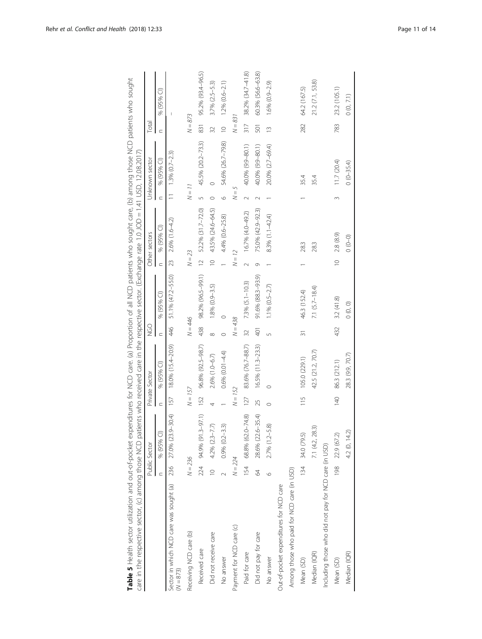<span id="page-10-0"></span>

| Table 5 Health sector utilization and out-of-pocket expenditures for NCD care. (a) Proportion of all NCD patients who sought care, (b) among those NCD patients who sought |           |                       |                |                       |                |                                            |             |                   |                |                       |             |                     |
|----------------------------------------------------------------------------------------------------------------------------------------------------------------------------|-----------|-----------------------|----------------|-----------------------|----------------|--------------------------------------------|-------------|-------------------|----------------|-----------------------|-------------|---------------------|
| care in the respective sector, (c) among those NCD patients who received care in the respective sector. (Exchange rate 1.0 JOD = 1.41 USD, 12.08.2017)                     |           |                       |                |                       |                |                                            |             |                   |                |                       |             |                     |
|                                                                                                                                                                            |           | Public Sector         |                | Private Sector        | <b>SPN</b>     |                                            |             | Other sectors     |                | Unknown sector        | Total       |                     |
|                                                                                                                                                                            | $\subset$ | % (95% CI             | $\subset$      | % (95% CI)            | $\subset$      | % (95% Cl)                                 | $\subset$   | % (95% CI)        | $\subset$      | % (95% Cl)            | $\subset$   | €<br>% (95%         |
| Sector in which NCD care was sought (a)<br>$(N = 873)$                                                                                                                     | 236       | 27.0% (23.9-30.4)     | 157            | 18.0% (15.4–20.9)     | 46             | 51.1% (47.2–55.0)                          | 23          | $2.6%$ (1.6-4.2)  |                | $11 \t13\% (0.7-2.3)$ |             |                     |
| Receiving NCD care (b)                                                                                                                                                     | $N = 236$ |                       | $N = 157$      |                       | $N = 446$      |                                            | $N = 23$    |                   | $N = 11$       |                       | $N = 873$   |                     |
| Received care                                                                                                                                                              |           | 224 94.9% (91.3-97.1) |                | 152 96.8% (92.5-98.7) |                | 438 98.2% (96.5–99.1) 12 52.2% (31.7–72.0) |             |                   | $\overline{5}$ | 45.5% (20.2-73.3)     | 831         | 95.2% (93.4-96.5)   |
| Did not receive care                                                                                                                                                       | $\approx$ | $4.2\%$ $(2.3-7.7)$   | 4              | $2.6%$ $(1.0 - 6.7)$  | $\infty$       | $1.8%$ $(0.9-3.5)$                         | $\supseteq$ | 43.5% (24.6-64.5) | $\circ$        | $\circ$               | 32          | $3.7\% (2.5 - 5.3)$ |
| No answer                                                                                                                                                                  |           | $0.9% (0.2 - 3.3)$    |                | 0.6% (0.01–4.4)       | O              |                                            |             | 4.4% (0.6-25.8)   | $\circ$        | 54.6% (26.7-79.8)     | $\supseteq$ | $1.2\%$ $(0.6-2.1)$ |
| Payment for NCD care (c)                                                                                                                                                   | $N = 224$ |                       | $N = 152$      |                       | $N = 438$      |                                            | $N = 12$    |                   | $N = 5$        |                       | $N = 831$   |                     |
| Paid for care                                                                                                                                                              | 154       | 68.8% (62.0-74.8)     | 127            | 83.6% (76.7-88.7)     | 32             | 7.3% (5.1-10.3)                            |             | 16.7% (4.0-49.2)  | $\sim$         | 40.0% (9.9-80.1)      | 317         | 38.2% (34.7-41.8)   |
| Did not pay for care                                                                                                                                                       | 8         | 28.6% (22.6-35.4)     | 25             | 16.5% (11.3-23.3)     | $\overline{5}$ | 91.6% (88.3-93.9)                          | Ō           | 75.0% (42.9-92.3) |                | 40.0% (9.9-80.1)      | 501         | 60.3% (56.6-63.8)   |
| No answer                                                                                                                                                                  | O         | 2.7% (1.2-5.8)        | 0              |                       | 5              | $1.1\%$ (0.5-2.7)                          |             | 8.3% (1.1-42.4)   |                | 20.0% (2.7-69.4)      | $\tilde{=}$ | $1.6% (0.9-2.9)$    |
| Out-of-pocket expenditures for NCD care                                                                                                                                    |           |                       |                |                       |                |                                            |             |                   |                |                       |             |                     |
| Among those who paid for NCD care (in USD)                                                                                                                                 |           |                       |                |                       |                |                                            |             |                   |                |                       |             |                     |
| Mean (SD)                                                                                                                                                                  | 134       | 34.0 (79.5)           | $\frac{5}{11}$ | 105.0 (229.1)         | $\overline{5}$ | 46.3 (152.4)                               |             | 283               |                | 35.4                  | 282         | 64.2 (167.5)        |
| Median (IQR)                                                                                                                                                               |           | 7.1 (4.2, 28.3)       |                | 42.5 (21.2, 70.7)     |                | 7.1 (5.7-18.4)                             |             | 283               |                | 35.4                  |             | 21.2 (7.1, 53.8)    |
| Including those who did not pay for NCD care (in USD)                                                                                                                      |           |                       |                |                       |                |                                            |             |                   |                |                       |             |                     |
| Mean (SD)                                                                                                                                                                  |           | 198 22.9 (67.2)       | 140            | 86.3 (212.1)          | 432            | 3.2(41.8)                                  | $\supseteq$ | 2.8 (8.9)         | 3              | 11.7 (20.4)           | 783         | 23.2 (105.1)        |
| Median (IQR)                                                                                                                                                               |           | 4.2 (0, 14.2)         |                | 28.3 (9.9, 70.7)      |                | 0(0, 0)                                    |             | $(0 - 0)$         |                | $0(0-35.4)$           |             | 0(0, 7.1)           |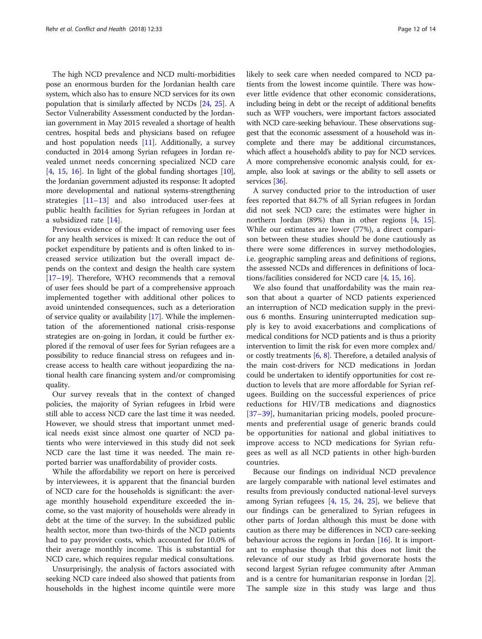The high NCD prevalence and NCD multi-morbidities pose an enormous burden for the Jordanian health care system, which also has to ensure NCD services for its own population that is similarly affected by NCDs [[24](#page-13-0), [25\]](#page-13-0). A Sector Vulnerability Assessment conducted by the Jordanian government in May 2015 revealed a shortage of health centres, hospital beds and physicians based on refugee and host population needs [[11](#page-13-0)]. Additionally, a survey conducted in 2014 among Syrian refugees in Jordan revealed unmet needs concerning specialized NCD care [[4,](#page-13-0) [15](#page-13-0), [16](#page-13-0)]. In light of the global funding shortages [[10](#page-13-0)], the Jordanian government adjusted its response: It adopted more developmental and national systems-strengthening strategies  $[11-13]$  $[11-13]$  $[11-13]$  $[11-13]$  and also introduced user-fees at public health facilities for Syrian refugees in Jordan at a subsidized rate [\[14](#page-13-0)].

Previous evidence of the impact of removing user fees for any health services is mixed: It can reduce the out of pocket expenditure by patients and is often linked to increased service utilization but the overall impact depends on the context and design the health care system [[17](#page-13-0)–[19](#page-13-0)]. Therefore, WHO recommends that a removal of user fees should be part of a comprehensive approach implemented together with additional other polices to avoid unintended consequences, such as a deterioration of service quality or availability [[17](#page-13-0)]. While the implementation of the aforementioned national crisis-response strategies are on-going in Jordan, it could be further explored if the removal of user fees for Syrian refugees are a possibility to reduce financial stress on refugees and increase access to health care without jeopardizing the national health care financing system and/or compromising quality.

Our survey reveals that in the context of changed policies, the majority of Syrian refugees in Irbid were still able to access NCD care the last time it was needed. However, we should stress that important unmet medical needs exist since almost one quarter of NCD patients who were interviewed in this study did not seek NCD care the last time it was needed. The main reported barrier was unaffordability of provider costs.

While the affordability we report on here is perceived by interviewees, it is apparent that the financial burden of NCD care for the households is significant: the average monthly household expenditure exceeded the income, so the vast majority of households were already in debt at the time of the survey. In the subsidized public health sector, more than two-thirds of the NCD patients had to pay provider costs, which accounted for 10.0% of their average monthly income. This is substantial for NCD care, which requires regular medical consultations.

Unsurprisingly, the analysis of factors associated with seeking NCD care indeed also showed that patients from households in the highest income quintile were more likely to seek care when needed compared to NCD patients from the lowest income quintile. There was however little evidence that other economic considerations, including being in debt or the receipt of additional benefits such as WFP vouchers, were important factors associated with NCD care-seeking behaviour. These observations suggest that the economic assessment of a household was incomplete and there may be additional circumstances, which affect a household's ability to pay for NCD services. A more comprehensive economic analysis could, for example, also look at savings or the ability to sell assets or services [[36](#page-13-0)].

A survey conducted prior to the introduction of user fees reported that 84.7% of all Syrian refugees in Jordan did not seek NCD care; the estimates were higher in northern Jordan (89%) than in other regions [[4,](#page-13-0) [15](#page-13-0)]. While our estimates are lower (77%), a direct comparison between these studies should be done cautiously as there were some differences in survey methodologies, i.e. geographic sampling areas and definitions of regions, the assessed NCDs and differences in definitions of locations/facilities considered for NCD care [[4,](#page-13-0) [15](#page-13-0), [16](#page-13-0)].

We also found that unaffordability was the main reason that about a quarter of NCD patients experienced an interruption of NCD medication supply in the previous 6 months. Ensuring uninterrupted medication supply is key to avoid exacerbations and complications of medical conditions for NCD patients and is thus a priority intervention to limit the risk for even more complex and/ or costly treatments  $[6, 8]$  $[6, 8]$  $[6, 8]$ . Therefore, a detailed analysis of the main cost-drivers for NCD medications in Jordan could be undertaken to identify opportunities for cost reduction to levels that are more affordable for Syrian refugees. Building on the successful experiences of price reductions for HIV/TB medications and diagnostics [[37](#page-13-0)–[39\]](#page-13-0), humanitarian pricing models, pooled procurements and preferential usage of generic brands could be opportunities for national and global initiatives to improve access to NCD medications for Syrian refugees as well as all NCD patients in other high-burden countries.

Because our findings on individual NCD prevalence are largely comparable with national level estimates and results from previously conducted national-level surveys among Syrian refugees [[4,](#page-13-0) [15](#page-13-0), [24](#page-13-0), [25\]](#page-13-0), we believe that our findings can be generalized to Syrian refugees in other parts of Jordan although this must be done with caution as there may be differences in NCD care-seeking behaviour across the regions in Jordan  $[16]$  $[16]$ . It is important to emphasise though that this does not limit the relevance of our study as Irbid governorate hosts the second largest Syrian refugee community after Amman and is a centre for humanitarian response in Jordan [\[2](#page-13-0)]. The sample size in this study was large and thus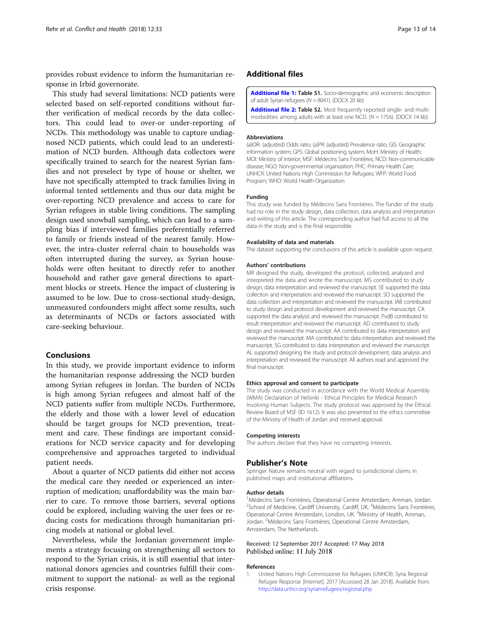<span id="page-12-0"></span>provides robust evidence to inform the humanitarian response in Irbid governorate.

This study had several limitations: NCD patients were selected based on self-reported conditions without further verification of medical records by the data collectors. This could lead to over-or under-reporting of NCDs. This methodology was unable to capture undiagnosed NCD patients, which could lead to an underestimation of NCD burden. Although data collectors were specifically trained to search for the nearest Syrian families and not preselect by type of house or shelter, we have not specifically attempted to track families living in informal tented settlements and thus our data might be over-reporting NCD prevalence and access to care for Syrian refugees in stable living conditions. The sampling design used snowball sampling, which can lead to a sampling bias if interviewed families preferentially referred to family or friends instead of the nearest family. However, the intra-cluster referral chain to households was often interrupted during the survey, as Syrian households were often hesitant to directly refer to another household and rather gave general directions to apartment blocks or streets. Hence the impact of clustering is assumed to be low. Due to cross-sectional study-design, unmeasured confounders might affect some results, such as determinants of NCDs or factors associated with care-seeking behaviour.

#### Conclusions

In this study, we provide important evidence to inform the humanitarian response addressing the NCD burden among Syrian refugees in Jordan. The burden of NCDs is high among Syrian refugees and almost half of the NCD patients suffer from multiple NCDs. Furthermore, the elderly and those with a lower level of education should be target groups for NCD prevention, treatment and care. These findings are important considerations for NCD service capacity and for developing comprehensive and approaches targeted to individual patient needs.

About a quarter of NCD patients did either not access the medical care they needed or experienced an interruption of medication; unaffordability was the main barrier to care. To remove those barriers, several options could be explored, including waiving the user fees or reducing costs for medications through humanitarian pricing models at national or global level.

Nevertheless, while the Jordanian government implements a strategy focusing on strengthening all sectors to respond to the Syrian crisis, it is still essential that international donors agencies and countries fulfill their commitment to support the national- as well as the regional crisis response.

# Additional files

[Additional file 1:](https://doi.org/10.1186/s13031-018-0168-7) Table S1. Socio-demographic and economic description of adult Syrian refugees ( $N = 8041$ ). (DOCX 20 kb)

[Additional file 2:](https://doi.org/10.1186/s13031-018-0168-7) Table S2. Most frequently reported single- and multimorbidities among adults with at least one NCD.  $(N = 1756)$ . (DOCX 14 kb)

#### Abbreviations

(a)OR: (adjusted) Odds ratio; (a)PR: (adjusted) Prevalence ratio; GIS: Geographic information system; GPS: Global positioning system; MoH: Ministry of Health; MOI: Ministry of Interior; MSF: Médecins Sans Frontières; NCD: Non-communicable disease; NGO: Non-governmental organization; PHC: Primary Health Care; UNHCR: United Nations High Commission for Refugees; WFP: World Food Program; WHO: World Health Organization

#### Funding

This study was funded by Médecins Sans Frontières. The funder of the study had no role in the study design, data collection, data analysis and interpretation and writing of this article. The corresponding author had full access to all the data in the study and is the final responsible.

#### Availability of data and materials

The dataset supporting the conclusions of this article is available upon request.

#### Authors' contributions

MR designed the study, developed the protocol, collected, analyzed and interpreted the data and wrote the manuscript. MS contributed to study design, data interpretation and reviewed the manuscript. SE supported the data collection and interpretation and reviewed the manuscript. SO supported the data collection and interpretation and reviewed the manuscript. IAB contributed to study design and protocol development and reviewed the manuscript. CA supported the data analysis and reviewed the manuscript. PvdB contributed to result interpretation and reviewed the manuscript. AD contributed to study design and reviewed the manuscript. AA contributed to data interpretation and reviewed the manuscript. MA contributed to data interpretation and reviewed the manuscript. SG contributed to data interpretation and reviewed the manuscript. AL supported designing the study and protocol development, data analysis and interpretation and reviewed the manuscript. All authors read and approved the final manuscript.

#### Ethics approval and consent to participate

The study was conducted in accordance with the World Medical Assembly (WMA) Declaration of Helsinki - Ethical Principles for Medical Research Involving Human Subjects. The study protocol was approved by the Ethical Review Board of MSF (ID 1612). It was also presented to the ethics committee of the Ministry of Health of Jordan and received approval.

#### Competing interests

The authors declare that they have no competing interests.

#### Publisher's Note

Springer Nature remains neutral with regard to jurisdictional claims in published maps and institutional affiliations.

#### Author details

<sup>1</sup>Médecins Sans Frontières, Operational Centre Amsterdam, Amman, Jordan. <sup>2</sup>School of Medicine, Cardiff University, Cardiff, UK. <sup>3</sup>Médecins Sans Frontières Operational Centre Amsterdam, London, UK. <sup>4</sup>Ministry of Health, Amman Jordan. <sup>5</sup>Médecins Sans Frontières, Operational Centre Amsterdam, Amsterdam, The Netherlands.

#### Received: 12 September 2017 Accepted: 17 May 2018 Published online: 11 July 2018

#### References

1. United Nations High Commissioner for Refugees (UNHCR). Syria Regional Refugee Response [Internet]. 2017 [Accessed 28 Jan 2018]. Available from: <http://data.unhcr.org/syrianrefugees/regional.php>